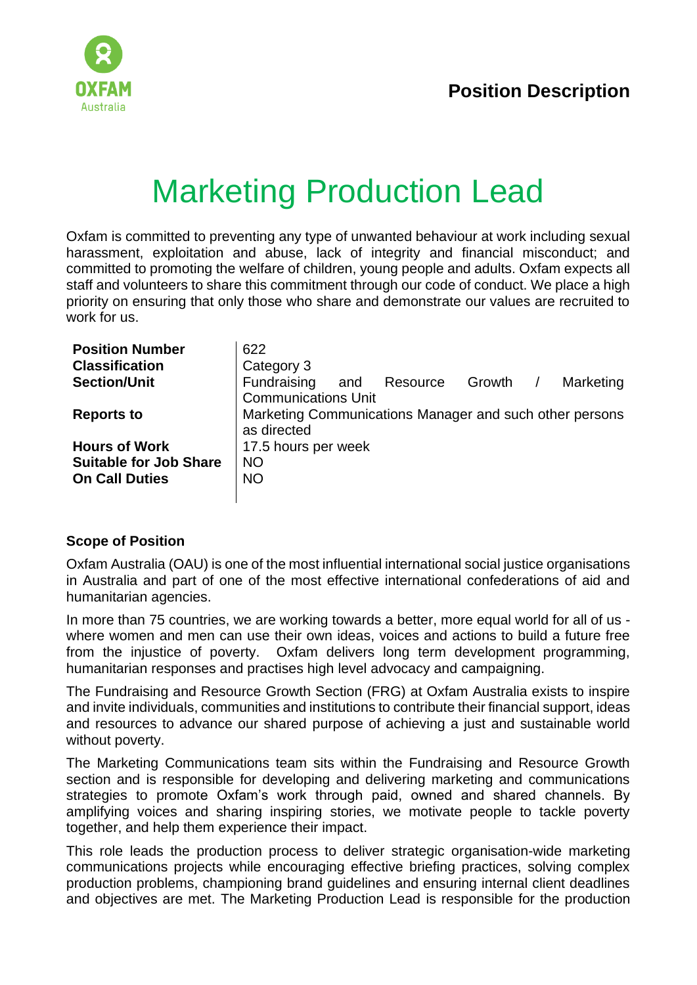

# Marketing Production Lead

Oxfam is committed to preventing any type of unwanted behaviour at work including sexual harassment, exploitation and abuse, lack of integrity and financial misconduct; and committed to promoting the welfare of children, young people and adults. Oxfam expects all staff and volunteers to share this commitment through our code of conduct. We place a high priority on ensuring that only those who share and demonstrate our values are recruited to work for us.

| <b>Position Number</b>        | 622                                                     |     |          |        |  |           |
|-------------------------------|---------------------------------------------------------|-----|----------|--------|--|-----------|
| <b>Classification</b>         | Category 3                                              |     |          |        |  |           |
| <b>Section/Unit</b>           | Fundraising                                             | and | Resource | Growth |  | Marketing |
|                               | <b>Communications Unit</b>                              |     |          |        |  |           |
| <b>Reports to</b>             | Marketing Communications Manager and such other persons |     |          |        |  |           |
|                               | as directed                                             |     |          |        |  |           |
| <b>Hours of Work</b>          | 17.5 hours per week                                     |     |          |        |  |           |
| <b>Suitable for Job Share</b> | <b>NO</b>                                               |     |          |        |  |           |
| <b>On Call Duties</b>         | <b>NO</b>                                               |     |          |        |  |           |
|                               |                                                         |     |          |        |  |           |

#### **Scope of Position**

Oxfam Australia (OAU) is one of the most influential international social justice organisations in Australia and part of one of the most effective international confederations of aid and humanitarian agencies.

In more than 75 countries, we are working towards a better, more equal world for all of us where women and men can use their own ideas, voices and actions to build a future free from the injustice of poverty. Oxfam delivers long term development programming, humanitarian responses and practises high level advocacy and campaigning.

The Fundraising and Resource Growth Section (FRG) at Oxfam Australia exists to inspire and invite individuals, communities and institutions to contribute their financial support, ideas and resources to advance our shared purpose of achieving a just and sustainable world without poverty.

The Marketing Communications team sits within the Fundraising and Resource Growth section and is responsible for developing and delivering marketing and communications strategies to promote Oxfam's work through paid, owned and shared channels. By amplifying voices and sharing inspiring stories, we motivate people to tackle poverty together, and help them experience their impact.

This role leads the production process to deliver strategic organisation-wide marketing communications projects while encouraging effective briefing practices, solving complex production problems, championing brand guidelines and ensuring internal client deadlines and objectives are met. The Marketing Production Lead is responsible for the production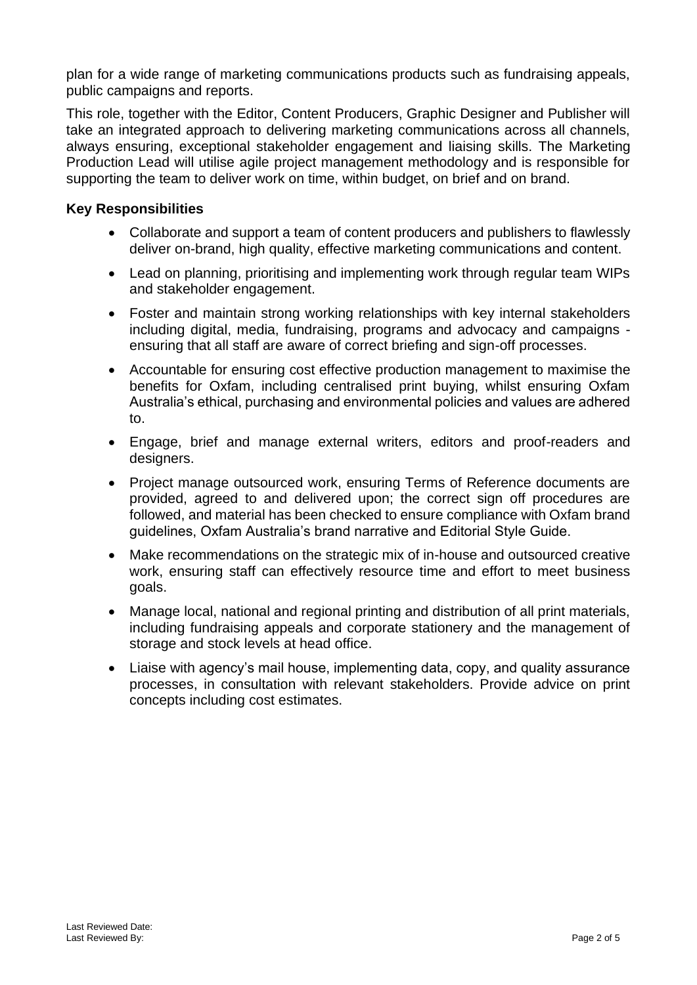plan for a wide range of marketing communications products such as fundraising appeals, public campaigns and reports.

This role, together with the Editor, Content Producers, Graphic Designer and Publisher will take an integrated approach to delivering marketing communications across all channels, always ensuring, exceptional stakeholder engagement and liaising skills. The Marketing Production Lead will utilise agile project management methodology and is responsible for supporting the team to deliver work on time, within budget, on brief and on brand.

## **Key Responsibilities**

- Collaborate and support a team of content producers and publishers to flawlessly deliver on-brand, high quality, effective marketing communications and content.
- Lead on planning, prioritising and implementing work through regular team WIPs and stakeholder engagement.
- Foster and maintain strong working relationships with key internal stakeholders including digital, media, fundraising, programs and advocacy and campaigns ensuring that all staff are aware of correct briefing and sign-off processes.
- Accountable for ensuring cost effective production management to maximise the benefits for Oxfam, including centralised print buying, whilst ensuring Oxfam Australia's ethical, purchasing and environmental policies and values are adhered to.
- Engage, brief and manage external writers, editors and proof-readers and designers.
- Project manage outsourced work, ensuring Terms of Reference documents are provided, agreed to and delivered upon; the correct sign off procedures are followed, and material has been checked to ensure compliance with Oxfam brand guidelines, Oxfam Australia's brand narrative and Editorial Style Guide.
- Make recommendations on the strategic mix of in-house and outsourced creative work, ensuring staff can effectively resource time and effort to meet business goals.
- Manage local, national and regional printing and distribution of all print materials, including fundraising appeals and corporate stationery and the management of storage and stock levels at head office.
- Liaise with agency's mail house, implementing data, copy, and quality assurance processes, in consultation with relevant stakeholders. Provide advice on print concepts including cost estimates.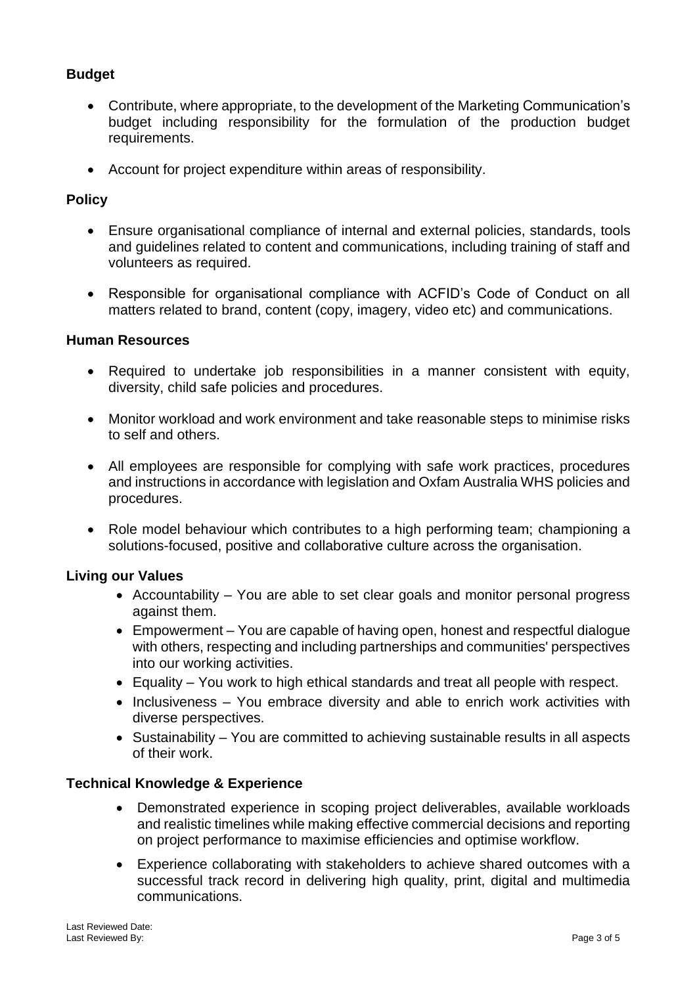# **Budget**

- Contribute, where appropriate, to the development of the Marketing Communication's budget including responsibility for the formulation of the production budget requirements.
- Account for project expenditure within areas of responsibility.

## **Policy**

- Ensure organisational compliance of internal and external policies, standards, tools and guidelines related to content and communications, including training of staff and volunteers as required.
- Responsible for organisational compliance with ACFID's Code of Conduct on all matters related to brand, content (copy, imagery, video etc) and communications.

#### **Human Resources**

- Required to undertake job responsibilities in a manner consistent with equity, diversity, child safe policies and procedures.
- Monitor workload and work environment and take reasonable steps to minimise risks to self and others.
- All employees are responsible for complying with safe work practices, procedures and instructions in accordance with legislation and Oxfam Australia WHS policies and procedures.
- Role model behaviour which contributes to a high performing team; championing a solutions-focused, positive and collaborative culture across the organisation.

#### **Living our Values**

- Accountability You are able to set clear goals and monitor personal progress against them.
- Empowerment You are capable of having open, honest and respectful dialogue with others, respecting and including partnerships and communities' perspectives into our working activities.
- Equality You work to high ethical standards and treat all people with respect.
- Inclusiveness You embrace diversity and able to enrich work activities with diverse perspectives.
- Sustainability You are committed to achieving sustainable results in all aspects of their work.

#### **Technical Knowledge & Experience**

- Demonstrated experience in scoping project deliverables, available workloads and realistic timelines while making effective commercial decisions and reporting on project performance to maximise efficiencies and optimise workflow.
- Experience collaborating with stakeholders to achieve shared outcomes with a successful track record in delivering high quality, print, digital and multimedia communications.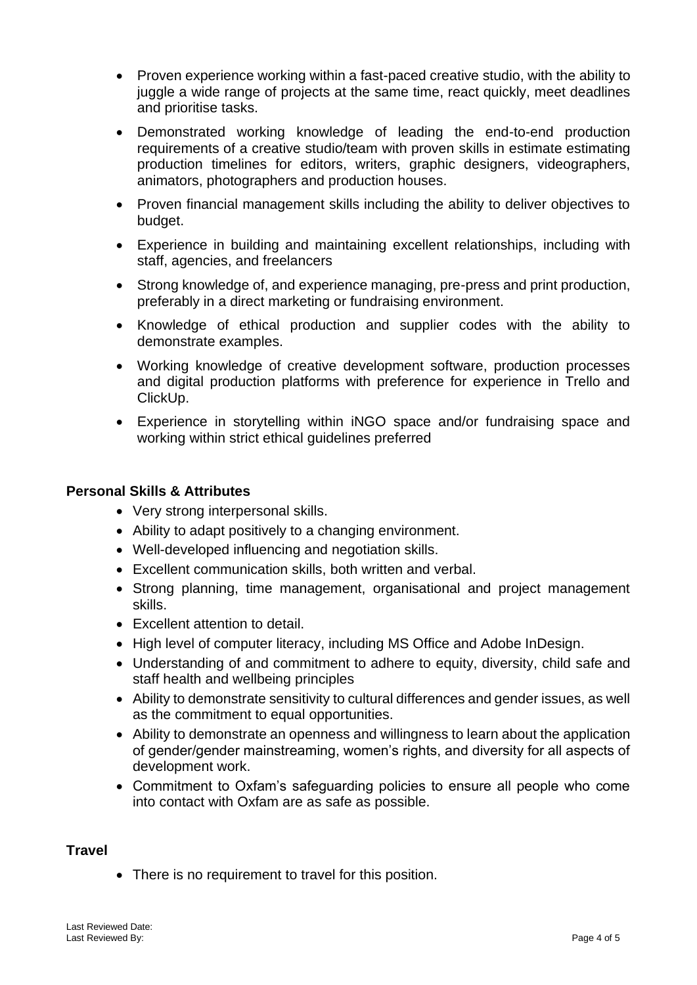- Proven experience working within a fast-paced creative studio, with the ability to juggle a wide range of projects at the same time, react quickly, meet deadlines and prioritise tasks.
- Demonstrated working knowledge of leading the end-to-end production requirements of a creative studio/team with proven skills in estimate estimating production timelines for editors, writers, graphic designers, videographers, animators, photographers and production houses.
- Proven financial management skills including the ability to deliver objectives to budget.
- Experience in building and maintaining excellent relationships, including with staff, agencies, and freelancers
- Strong knowledge of, and experience managing, pre-press and print production, preferably in a direct marketing or fundraising environment.
- Knowledge of ethical production and supplier codes with the ability to demonstrate examples.
- Working knowledge of creative development software, production processes and digital production platforms with preference for experience in Trello and ClickUp.
- Experience in storytelling within iNGO space and/or fundraising space and working within strict ethical guidelines preferred

#### **Personal Skills & Attributes**

- Very strong interpersonal skills.
- Ability to adapt positively to a changing environment.
- Well-developed influencing and negotiation skills.
- Excellent communication skills, both written and verbal.
- Strong planning, time management, organisational and project management skills.
- Excellent attention to detail.
- High level of computer literacy, including MS Office and Adobe InDesign.
- Understanding of and commitment to adhere to equity, diversity, child safe and staff health and wellbeing principles
- Ability to demonstrate sensitivity to cultural differences and gender issues, as well as the commitment to equal opportunities.
- Ability to demonstrate an openness and willingness to learn about the application of gender/gender mainstreaming, women's rights, and diversity for all aspects of development work.
- Commitment to Oxfam's safeguarding policies to ensure all people who come into contact with Oxfam are as safe as possible.

#### **Travel**

• There is no requirement to travel for this position.